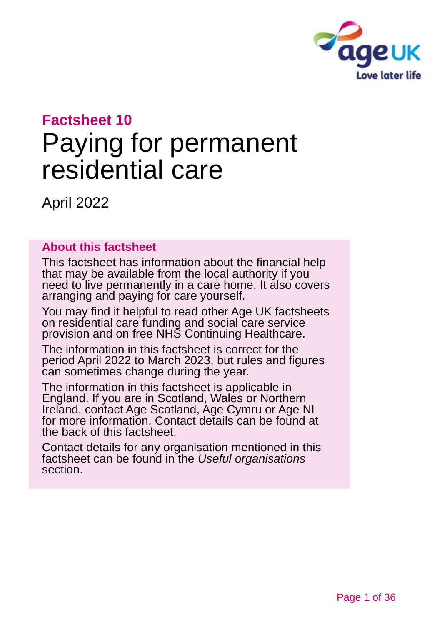

# **Factsheet 10** Paying for permanent residential care

April 2022

### **About this factsheet**

This factsheet has information about the financial help that may be available from the local authority if you need to live permanently in a care home. It also covers arranging and paying for care yourself.

You may find it helpful to read other Age UK factsheets on residential care funding and social care service provision and on free NHS Continuing Healthcare.

The information in this factsheet is correct for the period April 2022 to March 2023, but rules and figures can sometimes change during the year.

The information in this factsheet is applicable in England. If you are in Scotland, Wales or Northern Ireland, [contact Age Scotland, Age Cymru or Age NI](#page-34-0) for more information. Contact details can be found at the back of this factsheet.

Contact details for any organisation mentioned in this factsheet can be found in the *[Useful organisations](#page-32-0)* section.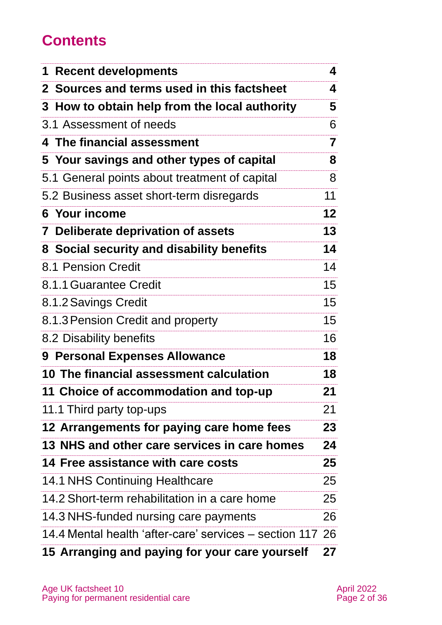## **Contents**

| 1 Recent developments                                     | 4               |
|-----------------------------------------------------------|-----------------|
| 2 Sources and terms used in this factsheet                | 4               |
| 3 How to obtain help from the local authority             | 5               |
| 3.1 Assessment of needs                                   | 6               |
| 4 The financial assessment                                | 7               |
| 5 Your savings and other types of capital                 | 8               |
| 5.1 General points about treatment of capital             | 8               |
| 5.2 Business asset short-term disregards                  | 11              |
| 6 Your income                                             | 12 <sub>2</sub> |
| 7 Deliberate deprivation of assets                        | 13              |
| 8 Social security and disability benefits                 | 14              |
| 8.1 Pension Credit                                        | 14              |
| 8.1.1 Guarantee Credit                                    | 15              |
| 8.1.2 Savings Credit                                      | 15 <sub>1</sub> |
| 8.1.3 Pension Credit and property                         | 15 <sub>1</sub> |
| 8.2 Disability benefits                                   | 16              |
| 9 Personal Expenses Allowance                             | 18              |
| 10 The financial assessment calculation                   | 18              |
| 11 Choice of accommodation and top-up                     | 21              |
| 11.1 Third party top-ups                                  | 21              |
| 12 Arrangements for paying care home fees                 | 23              |
| 13 NHS and other care services in care homes              | 24              |
| <b>14 Free assistance with care costs</b>                 | 25              |
| 14.1 NHS Continuing Healthcare                            | 25              |
| 14.2 Short-term rehabilitation in a care home             | 25              |
| 14.3 NHS-funded nursing care payments                     | 26              |
| 14.4 Mental health 'after-care' services – section 117 26 |                 |
| 15 Arranging and paying for your care yourself            | 27              |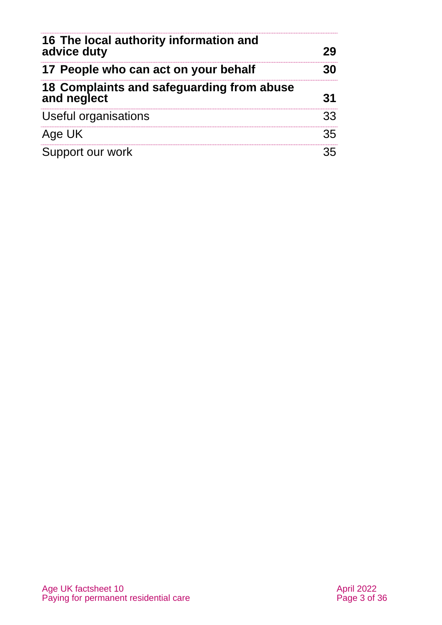| 16 The local authority information and<br>advice duty    | 29 |
|----------------------------------------------------------|----|
| 17 People who can act on your behalf                     | 30 |
| 18 Complaints and safeguarding from abuse<br>and neglect | 31 |
| Useful organisations                                     | 33 |
| Age UK                                                   | 35 |
| Support our work                                         |    |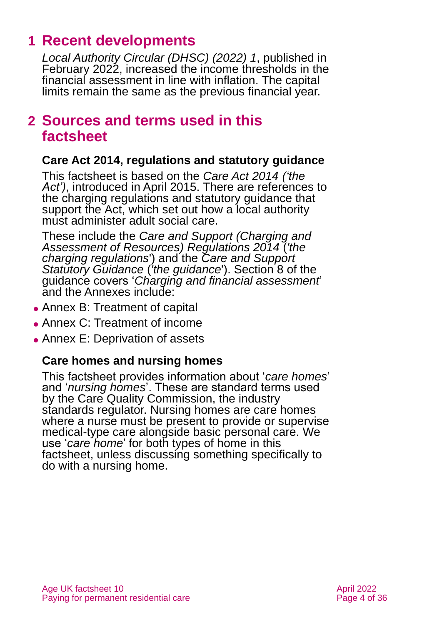## <span id="page-3-0"></span>**1 Recent developments**

*[Local Authority Circular \(DHSC\) \(2022\) 1](https://www.gov.uk/government/publications/social-care-charging-for-local-authorities-2022-to-2023)*, published in February 2022, increased the income thresholds in the financial assessment in line with inflation. The capital limits remain the same as the previous financial year.

### <span id="page-3-1"></span>**2 Sources and terms used in this factsheet**

### **Care Act 2014, regulations and statutory guidance**

This factsheet is based on the *[Care Act 2014](http://www.legislation.gov.uk/ukpga/2014/23/contents) ('the*  Act'), introduced in April 2015. There are references to the charging regulations and statutory guidance that support the Act, which set out how a local authority must administer adult social care.

These include the *[Care and Support \(Charging and](http://www.legislation.gov.uk/uksi/2014/2672/contents/made)  [Assessment of Resources\) Regulations 2014](http://www.legislation.gov.uk/uksi/2014/2672/contents/made)* (*'the charging regulations*') and the *[Care and Support](https://www.gov.uk/government/publications/care-act-statutory-guidance/care-and-support-statutory-guidance)  [Statutory Guidance](https://www.gov.uk/government/publications/care-act-statutory-guidance/care-and-support-statutory-guidance)* (*'the guidance*'). Section 8 of the guidance covers '*Charging and financial assessment*' and the Annexes include:

- ⚫ Annex B: Treatment of capital
- ⚫ Annex C: Treatment of income
- ⚫ Annex E: Deprivation of assets

### **Care homes and nursing homes**

This factsheet provides information about '*care homes*' and '*nursing homes*'. These are standard terms used by the Care Quality Commission, the industry standards regulator. Nursing homes are care homes where a nurse must be present to provide or supervise medical-type care alongside basic personal care. We use '*care home*' for both types of home in this factsheet, unless discussing something specifically to do with a nursing home.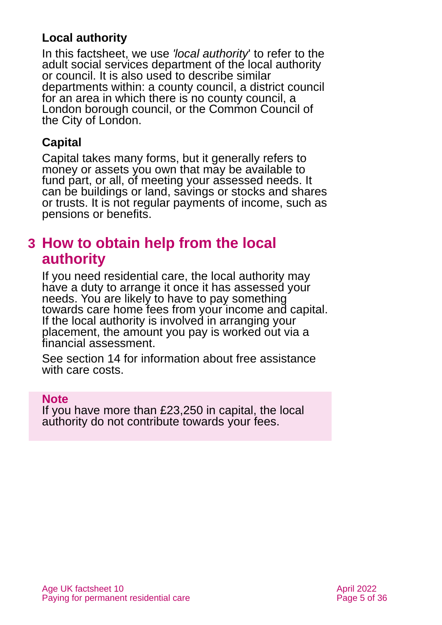### **Local authority**

In this factsheet, we use *'local authority*' to refer to the adult social services department of the local authority or council. It is also used to describe similar departments within: a county council, a district council for an area in which there is no county council, a London borough council, or the Common Council of the City of London.

### **Capital**

Capital takes many forms, but it generally refers to money or assets you own that may be available to fund part, or all, of meeting your assessed needs. It can be buildings or land, savings or stocks and shares or trusts. It is not regular payments of income, such as pensions or benefits.

## <span id="page-4-0"></span>**3 How to obtain help from the local authority**

If you need residential care, the local authority may have a duty to arrange it once it has assessed your needs. You are likely to have to pay something towards care home fees from your income and capital. If the local authority is involved in arranging your placement, the amount you pay is worked out via a financial assessment.

See section 14 [for information about free](#page-24-0) assistance [with care costs.](#page-24-0)

#### **Note**

If you have more than £23,250 in capital, the local authority do not contribute towards your fees.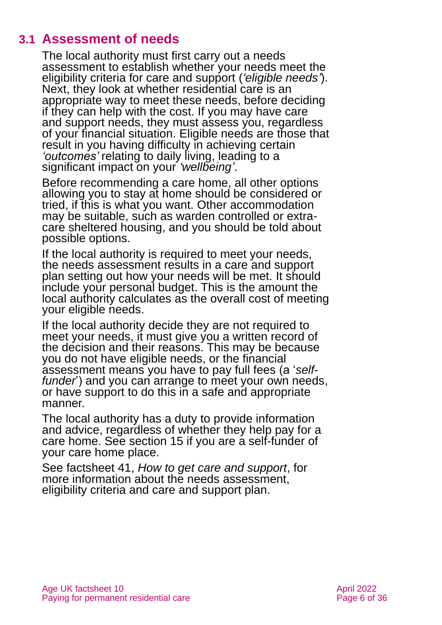### **3.1 Assessment of needs**

<span id="page-5-0"></span>The local authority must first carry out a needs assessment to establish whether your needs meet the eligibility criteria for care and support (*'eligible needs'*). Next, they look at whether residential care is an appropriate way to meet these needs, before deciding if they can help with the cost. If you may have care and support needs, they must assess you, regardless of your financial situation. Eligible needs are those that result in you having difficulty in achieving certain *'outcomes'* relating to daily living, leading to a significant impact on your *'wellbeing'*.

Before recommending a care home, all other options allowing you to stay at home should be considered or tried, if this is what you want. Other accommodation may be suitable, such as warden controlled or extracare sheltered housing, and you should be told about possible options.

If the local authority is required to meet your needs, the needs assessment results in a care and support plan setting out how your needs will be met. It should include your personal budget. This is the amount the local authority calculates as the overall cost of meeting your eligible needs.

If the local authority decide they are not required to meet your needs, it must give you a written record of the decision and their reasons. This may be because you do not have eligible needs, or the financial assessment means you have to pay full fees (a '*selffunder*') and you can arrange to meet your own needs, or have support to do this in a safe and appropriate manner.

The local authority has a duty to provide information and advice, regardless of whether they help pay for a care home. See [section 15](#page-26-0) if you are a self-funder of your care home place.

See factsheet 41, *[How to get care and support](https://www.ageuk.org.uk/globalassets/age-uk/documents/factsheets/fs41_how_to_get_care_and_support_fcs.pdf)*, for more information about the needs assessment, eligibility criteria and care and support plan.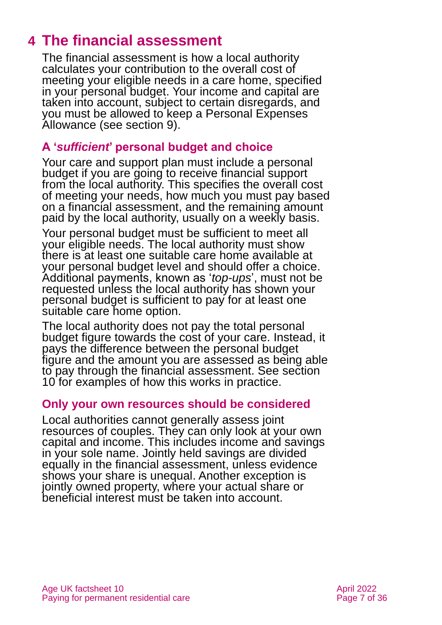## <span id="page-6-0"></span>**4 The financial assessment**

The financial assessment is how a local authority calculates your contribution to the overall cost of meeting your eligible needs in a care home, specified in your personal budget. Your income and capital are taken into account, subject to certain disregards, and you must be allowed to keep a Personal Expenses Allowance [\(see section 9\)](#page-17-0).

### **A '***sufficient***' personal budget and choice**

Your care and support plan must include a personal budget if you are going to receive financial support from the local authority. This specifies the overall cost of meeting your needs, how much you must pay based on a financial assessment, and the remaining amount paid by the local authority, usually on a weekly basis.

Your personal budget must be sufficient to meet all your eligible needs. The local authority must show there is at least one suitable care home available at your personal budget level and should offer a choice. Additional payments, known as '*top-ups*', must not be requested unless the local authority has shown your personal budget is sufficient to pay for at least one suitable care home option.

The local authority does not pay the total personal budget figure towards the cost of your care. Instead, it pays the difference between the personal budget figure and the amount you are assessed as being able to pay through the financial assessment. See [section](#page-17-1)  [10](#page-17-1) for examples of how this works in practice.

### **Only your own resources should be considered**

Local authorities cannot generally assess joint resources of couples. They can only look at your own capital and income. This includes income and savings in your sole name. Jointly held savings are divided equally in the financial assessment, unless evidence shows your share is unequal. Another exception is jointly owned property, where your actual share or beneficial interest must be taken into account.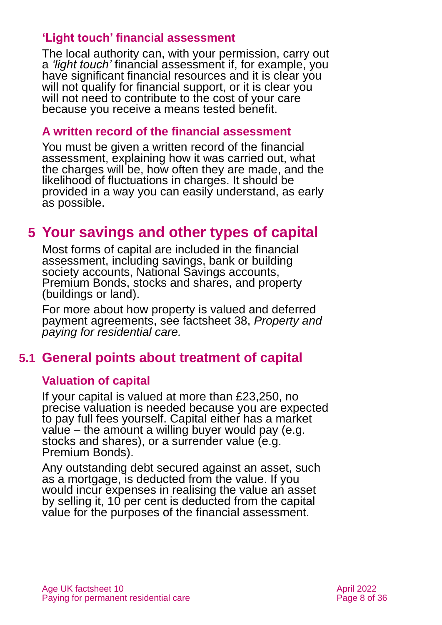### **'Light touch' financial assessment**

The local authority can, with your permission, carry out a *'light touch'* financial assessment if, for example, you have significant financial resources and it is clear you will not qualify for financial support, or it is clear you will not need to contribute to the cost of your care because you receive a means tested benefit.

### **A written record of the financial assessment**

You must be given a written record of the financial assessment, explaining how it was carried out, what the charges will be, how often they are made, and the likelihood of fluctuations in charges. It should be provided in a way you can easily understand, as early as possible.

## <span id="page-7-0"></span>**5 Your savings and other types of capital**

Most forms of capital are included in the financial assessment, including savings, bank or building society accounts, National Savings accounts, Premium Bonds, stocks and shares, and property (buildings or land).

For more about how property is valued and deferred payment agreements, see factsheet 38, *[Property and](https://www.ageuk.org.uk/globalassets/age-uk/documents/factsheets/fs38_property_and_paying_for_residential_care_fcs.pdf)  [paying for residential care.](https://www.ageuk.org.uk/globalassets/age-uk/documents/factsheets/fs38_property_and_paying_for_residential_care_fcs.pdf)*

### **5.1 General points about treatment of capital**

### **Valuation of capital**

If your capital is valued at more than £23,250, no precise valuation is needed because you are expected to pay full fees yourself. Capital either has a market value – the amount a willing buyer would pay (e.g. stocks and shares), or a surrender value (e.g. Premium Bonds).

Any outstanding debt secured against an asset, such as a mortgage, is deducted from the value. If you would incur expenses in realising the value an asset by selling it, 10 per cent is deducted from the capital value for the purposes of the financial assessment.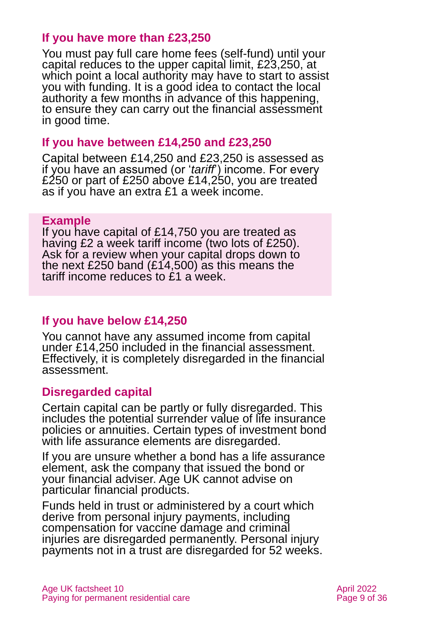### **If you have more than £23,250**

You must pay full care home fees (self-fund) until your capital reduces to the upper capital limit, £23,250, at which point a local authority may have to start to assist you with funding. It is a good idea to contact the local authority a few months in advance of this happening, to ensure they can carry out the financial assessment in good time.

#### **If you have between £14,250 and £23,250**

Capital between £14,250 and £23,250 is assessed as if you have an assumed (or '*tariff*') income. For every £250 or part of £250 above £14,250, you are treated as if you have an extra £1 a week income.

#### **Example**

If you have capital of £14,750 you are treated as having £2 a week tariff income (two lots of £250). Ask for a review when your capital drops down to the next £250 band (£14,500) as this means the tariff income reduces to £1 a week.

### **If you have below £14,250**

You cannot have any assumed income from capital under £14,250 included in the financial assessment. Effectively, it is completely disregarded in the financial assessment.

### **Disregarded capital**

Certain capital can be partly or fully disregarded. This includes the potential surrender value of life insurance policies or annuities. Certain types of investment bond with life assurance elements are disregarded.

If you are unsure whether a bond has a life assurance element, ask the company that issued the bond or your financial adviser. Age UK cannot advise on particular financial products.

Funds held in trust or administered by a court which derive from personal injury payments, including compensation for vaccine damage and criminal injuries are disregarded permanently. Personal injury payments not in a trust are disregarded for 52 weeks.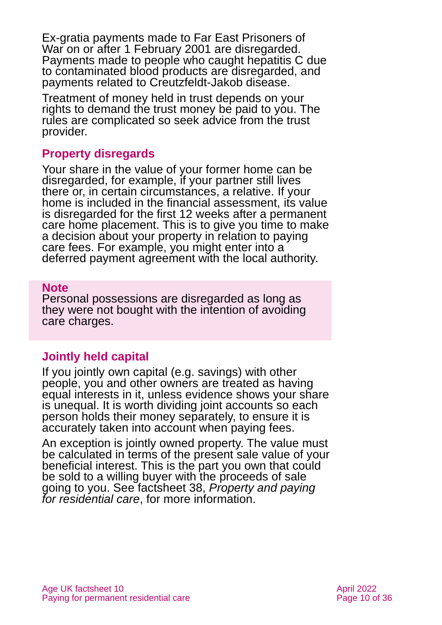Ex-gratia payments made to Far East Prisoners of War on or after 1 February 2001 are disregarded. Payments made to people who caught hepatitis C due to contaminated blood products are disregarded, and payments related to Creutzfeldt-Jakob disease.

Treatment of money held in trust depends on your rights to demand the trust money be paid to you. The rules are complicated so seek advice from the trust provider.

### **Property disregards**

Your share in the value of your former home can be disregarded, for example, if your partner still lives there or, in certain circumstances, a relative. If your home is included in the financial assessment, its value is disregarded for the first 12 weeks after a permanent care home placement. This is to give you time to make a decision about your property in relation to paying care fees. For example, you might enter into a deferred payment agreement with the local authority.

#### **Note**

Personal possessions are disregarded as long as they were not bought with the intention of avoiding care charges.

### **Jointly held capital**

If you jointly own capital (e.g. savings) with other people, you and other owners are treated as having equal interests in it, unless evidence shows your share is unequal. It is worth dividing joint accounts so each person holds their money separately, to ensure it is accurately taken into account when paying fees.

An exception is jointly owned property. The value must be calculated in terms of the present sale value of your beneficial interest. This is the part you own that could be sold to a willing buyer with the proceeds of sale going to you. See factsheet 38, *[Property and paying](https://www.ageuk.org.uk/globalassets/age-uk/documents/factsheets/fs38_property_and_paying_for_residential_care_fcs.pdf)  [for residential care](https://www.ageuk.org.uk/globalassets/age-uk/documents/factsheets/fs38_property_and_paying_for_residential_care_fcs.pdf)*, for more information.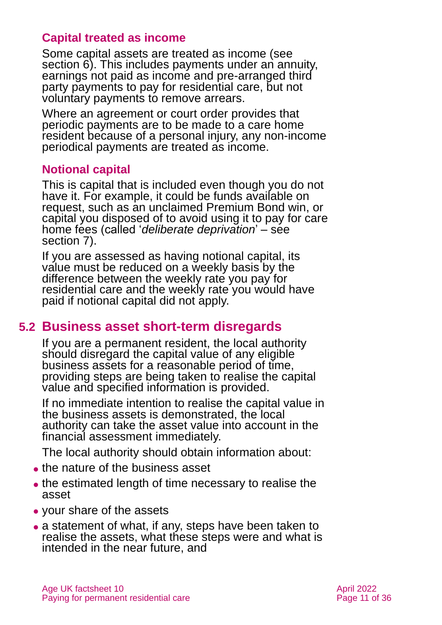### **Capital treated as income**

Some capital assets are treated as income (see [section 6\).](#page-11-0) This includes payments under an annuity, earnings not paid as income and pre-arranged third party payments to pay for residential care, but not voluntary payments to remove arrears.

Where an agreement or court order provides that periodic payments are to be made to a care home resident because of a personal injury, any non-income periodical payments are treated as income.

### **Notional capital**

This is capital that is included even though you do not have it. For example, it could be funds available on request, such as an unclaimed Premium Bond win, or capital you disposed of to avoid using it to pay for care home fees (called '*deliberate deprivation*' – see [section 7\)](#page-12-0).

If you are assessed as having notional capital, its value must be reduced on a weekly basis by the difference between the weekly rate you pay for residential care and the weekly rate you would have paid if notional capital did not apply.

### **5.2 Business asset short-term disregards**

If you are a permanent resident, the local authority should disregard the capital value of any eligible business assets for a reasonable period of time, providing steps are being taken to realise the capital value and specified information is provided.

If no immediate intention to realise the capital value in the business assets is demonstrated, the local authority can take the asset value into account in the financial assessment immediately.

The local authority should obtain information about:

- ⚫ the nature of the business asset
- ⚫ the estimated length of time necessary to realise the asset
- ⚫ your share of the assets
- ⚫ a statement of what, if any, steps have been taken to realise the assets, what these steps were and what is intended in the near future, and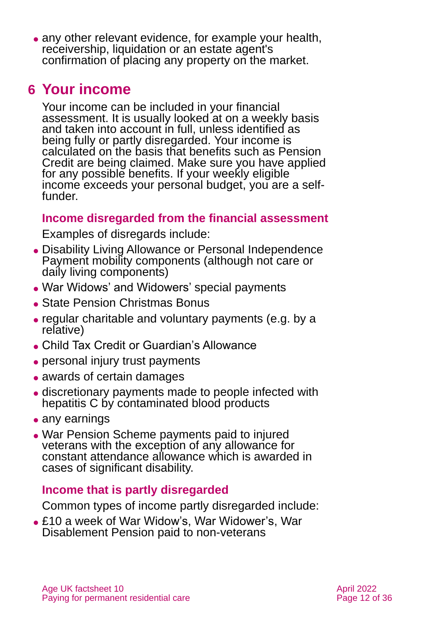• any other relevant evidence, for example your health, receivership, liquidation or an estate agent's confirmation of placing any property on the market.

## <span id="page-11-0"></span>**6 Your income**

Your income can be included in your financial assessment. It is usually looked at on a weekly basis and taken into account in full, unless identified as being fully or partly disregarded. Your income is calculated on the basis that benefits such as Pension Credit are being claimed. Make sure you have applied for any possible benefits. If your weekly eligible income exceeds your personal budget, you are a selffunder.

### **Income disregarded from the financial assessment**

Examples of disregards include:

- ⚫ Disability Living Allowance or Personal Independence Payment mobility components (although not care or daily living components)
- ⚫ War Widows' and Widowers' special payments
- State Pension Christmas Bonus
- ⚫ regular charitable and voluntary payments (e.g. by a relative)
- ⚫ Child Tax Credit or Guardian's Allowance
- personal injury trust payments
- awards of certain damages
- ⚫ discretionary payments made to people infected with hepatitis C by contaminated blood products
- any earnings
- ⚫ War Pension Scheme payments paid to injured veterans with the exception of any allowance for constant attendance allowance which is awarded in cases of significant disability.

### **Income that is partly disregarded**

Common types of income partly disregarded include:

⚫ £10 a week of War Widow's, War Widower's, War Disablement Pension paid to non-veterans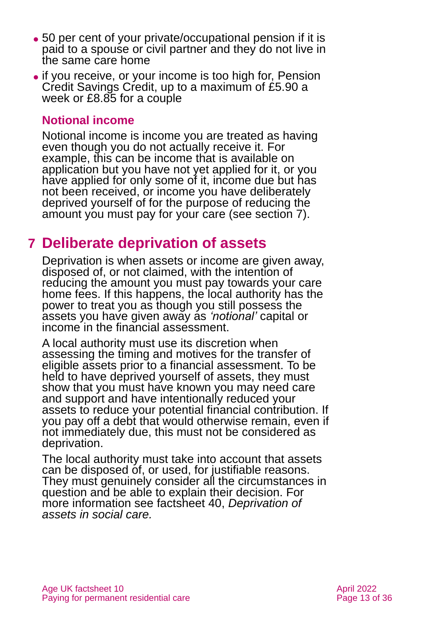- ⚫ 50 per cent of your private/occupational pension if it is paid to a spouse or civil partner and they do not live in the same care home
- ⚫ if you receive, or your income is too high for, Pension Credit Savings Credit, up to a maximum of £5.90 a week or £8.85 for a couple

### **Notional income**

Notional income is income you are treated as having even though you do not actually receive it. For example, this can be income that is available on application but you have not yet applied for it, or you have applied for only some of it, income due but has not been received, or income you have deliberately deprived yourself of for the purpose of reducing the amount you must pay for your care (see section 7).

## <span id="page-12-0"></span>**7 Deliberate deprivation of assets**

Deprivation is when assets or income are given away, disposed of, or not claimed, with the intention of reducing the amount you must pay towards your care home fees. If this happens, the local authority has the power to treat you as though you still possess the assets you have given away as *'notional'* capital or income in the financial assessment.

A local authority must use its discretion when assessing the timing and motives for the transfer of eligible assets prior to a financial assessment. To be held to have deprived yourself of assets, they must show that you must have known you may need care and support and have intentionally reduced your assets to reduce your potential financial contribution. If you pay off a debt that would otherwise remain, even if not immediately due, this must not be considered as deprivation.

The local authority must take into account that assets can be disposed of, or used, for justifiable reasons. They must genuinely consider all the circumstances in question and be able to explain their decision. For more information see factsheet 40, *[Deprivation of](https://www.ageuk.org.uk/globalassets/age-uk/documents/factsheets/fs40_deprivation_of_assets_in_social_care_fcs.pdf)  [assets in social care.](https://www.ageuk.org.uk/globalassets/age-uk/documents/factsheets/fs40_deprivation_of_assets_in_social_care_fcs.pdf)*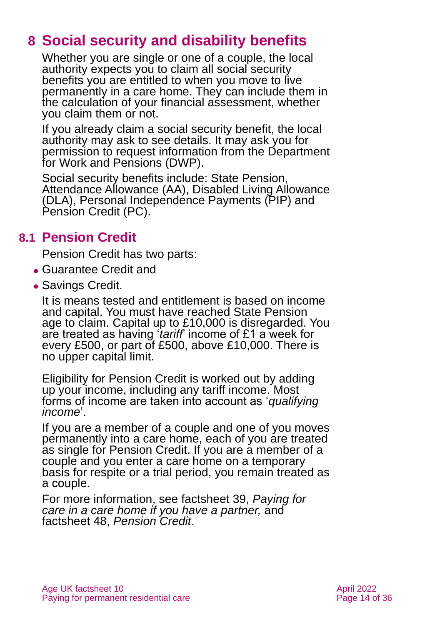## <span id="page-13-0"></span>**8 Social security and disability benefits**

Whether you are single or one of a couple, the local authority expects you to claim all social security benefits you are entitled to when you move to live permanently in a care home. They can include them in the calculation of your financial assessment, whether you claim them or not.

If you already claim a social security benefit, the local authority may ask to see details. It may ask you for permission to request information from the Department for Work and Pensions (DWP).

Social security benefits include: State Pension, Attendance Allowance (AA), Disabled Living Allowance (DLA), Personal Independence Payments (PIP) and Pension Credit (PC).

### **8.1 Pension Credit**

Pension Credit has two parts:

- ⚫ Guarantee Credit and
- Savings Credit.

It is means tested and entitlement is based on income and capital. You must have reached State Pension age to claim. Capital up to £10,000 is disregarded. You are treated as having '*tariff*' income of £1 a week for every £500, or part of £500, above £10,000. There is no upper capital limit.

Eligibility for Pension Credit is worked out by adding up your income, including any tariff income. Most forms of income are taken into account as '*qualifying income*'.

If you are a member of a couple and one of you moves permanently into a care home, each of you are treated as single for Pension Credit. If you are a member of a couple and you enter a care home on a temporary basis for respite or a trial period, you remain treated as a couple.

For more information, see factsheet 39, *[Paying for](https://www.ageuk.org.uk/globalassets/age-uk/documents/factsheets/fs39-paying-for-care-in-a-care-home-if-you-have-a-partner.pdf)  [care in a care home if you have a partner,](https://www.ageuk.org.uk/globalassets/age-uk/documents/factsheets/fs39-paying-for-care-in-a-care-home-if-you-have-a-partner.pdf)* and factsheet 48, *[Pension Credit](https://www.ageuk.org.uk/globalassets/age-uk/documents/factsheets/fs48_pension_credit_fcs.pdf)*.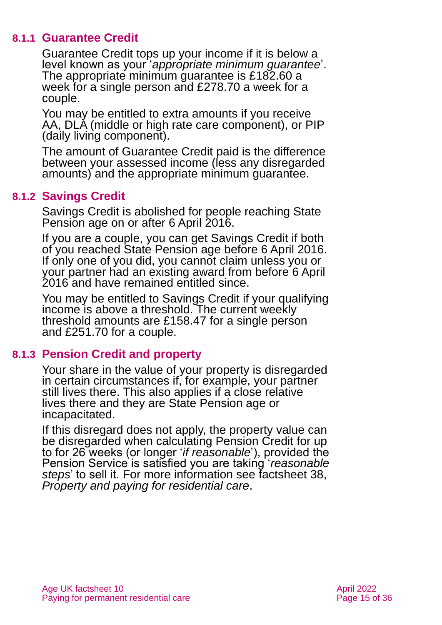#### **8.1.1 Guarantee Credit**

Guarantee Credit tops up your income if it is below a level known as your '*appropriate minimum guarantee*'. The appropriate minimum guarantee is £182.60 a week for a single person and £278.70 a week for a couple.

You may be entitled to extra amounts if you receive AA, DLA (middle or high rate care component), or PIP (daily living component).

The amount of Guarantee Credit paid is the difference between your assessed income (less any disregarded amounts) and the appropriate minimum guarantee.

### **8.1.2 Savings Credit**

Savings Credit is abolished for people reaching State Pension age on or after 6 April 2016.

If you are a couple, you can get Savings Credit if both of you reached State Pension age before 6 April 2016. If only one of you did, you cannot claim unless you or your partner had an existing award from before 6 April 2016 and have remained entitled since.

You may be entitled to Savings Credit if your qualifying income is above a threshold. The current weekly threshold amounts are £158.47 for a single person and £251.70 for a couple.

#### **8.1.3 Pension Credit and property**

Your share in the value of your property is disregarded in certain circumstances if, for example, your partner still lives there. This also applies if a close relative lives there and they are State Pension age or incapacitated.

If this disregard does not apply, the property value can be disregarded when calculating Pension Credit for up to for 26 weeks (or longer '*if reasonable*'), provided the Pension Service is satisfied you are taking '*reasonable steps*' to sell it. For more information see factsheet 38, *[Property and paying for residential care](https://www.ageuk.org.uk/globalassets/age-uk/documents/factsheets/fs38_property_and_paying_for_residential_care_fcs.pdf)*.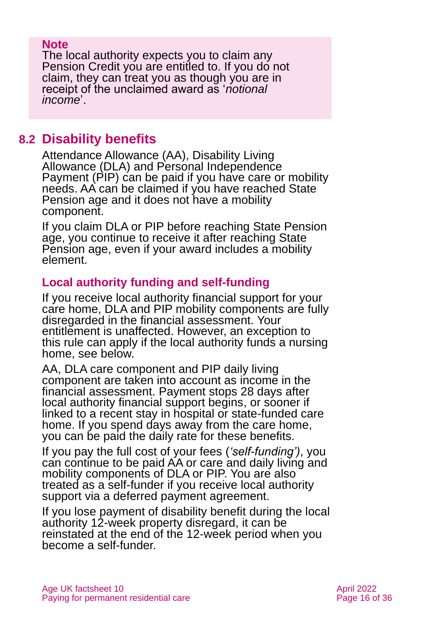#### **Note**

The local authority expects you to claim any Pension Credit you are entitled to. If you do not claim, they can treat you as though you are in receipt of the unclaimed award as '*notional income*'.

### <span id="page-15-0"></span>**8.2 Disability benefits**

Attendance Allowance (AA), Disability Living Allowance (DLA) and Personal Independence Payment (PIP) can be paid if you have care or mobility needs. AA can be claimed if you have reached State Pension age and it does not have a mobility component.

If you claim DLA or PIP before reaching State Pension age, you continue to receive it after reaching State Pension age, even if your award includes a mobility element.

### **Local authority funding and self-funding**

If you receive local authority financial support for your care home, DLA and PIP mobility components are fully disregarded in the financial assessment. Your entitlement is unaffected. However, an exception to this rule can apply if the local authority funds a nursing home, see below.

AA, DLA care component and PIP daily living component are taken into account as income in the financial assessment. Payment stops 28 days after local authority financial support begins, or sooner if linked to a recent stay in hospital or state-funded care home. If you spend days away from the care home, you can be paid the daily rate for these benefits.

If you pay the full cost of your fees (*'self-funding')*, you can continue to be paid AA or care and daily living and mobility components of DLA or PIP. You are also treated as a self-funder if you receive local authority support via a deferred payment agreement.

If you lose payment of disability benefit during the local authority 12-week property disregard, it can be reinstated at the end of the 12-week period when you become a self-funder.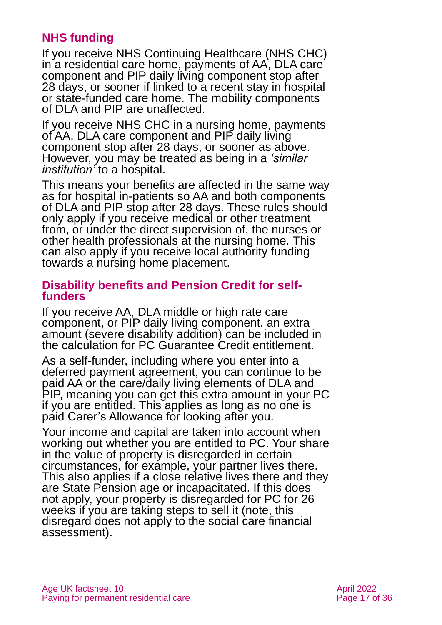### **NHS funding**

If you receive NHS Continuing Healthcare (NHS CHC) in a residential care home, payments of AA, DLA care component and PIP daily living component stop after 28 days, or sooner if linked to a recent stay in hospital or state-funded care home. The mobility components of DLA and PIP are unaffected.

If you receive NHS CHC in a nursing home, payments of AA, DLA care component and PIP daily living component stop after 28 days, or sooner as above. However, you may be treated as being in a *'similar institution'* to a hospital.

This means your benefits are affected in the same way as for hospital in-patients so AA and both components of DLA and PIP stop after 28 days. These rules should only apply if you receive medical or other treatment from, or under the direct supervision of, the nurses or other health professionals at the nursing home. This can also apply if you receive local authority funding towards a nursing home placement.

#### **Disability benefits and Pension Credit for selffunders**

If you receive AA, DLA middle or high rate care component, or PIP daily living component, an extra amount (severe disability addition) can be included in the calculation for PC Guarantee Credit entitlement.

As a self-funder, including where you enter into a deferred payment agreement, you can continue to be paid AA or the care/daily living elements of DLA and PIP, meaning you can get this extra amount in your PC if you are entitled. This applies as long as no one is paid Carer's Allowance for looking after you.

Your income and capital are taken into account when working out whether you are entitled to PC. Your share in the value of property is disregarded in certain circumstances, for example, your partner lives there. This also applies if a close relative lives there and they are State Pension age or incapacitated. If this does not apply, your property is disregarded for PC for 26 weeks if you are taking steps to sell it (note, this disregard does not apply to the social care financial assessment).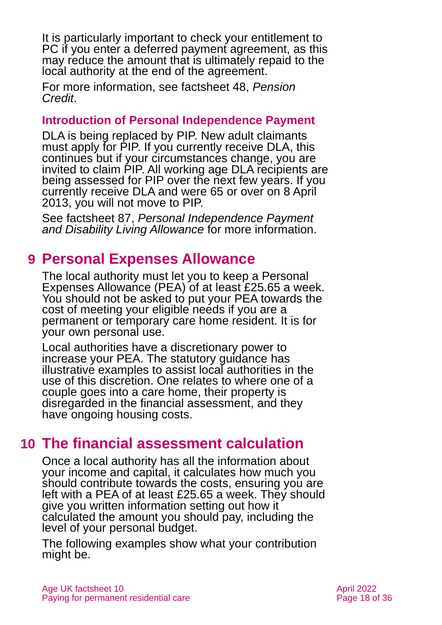It is particularly important to check your entitlement to PC if you enter a deferred payment agreement, as this may reduce the amount that is ultimately repaid to the local authority at the end of the agreement.

For more information, see factsheet 48, *[Pension](https://www.ageuk.org.uk/globalassets/age-uk/documents/factsheets/fs48_pension_credit_fcs.pdf)  [Credit](https://www.ageuk.org.uk/globalassets/age-uk/documents/factsheets/fs48_pension_credit_fcs.pdf)*.

### **Introduction of Personal Independence Payment**

DLA is being replaced by PIP. New adult claimants must apply for PIP. If you currently receive DLA, this continues but if your circumstances change, you are invited to claim PIP. All working age DLA recipients are being assessed for PIP over the next few years. If you currently receive DLA and were 65 or over on 8 April 2013, you will not move to PIP.

See factsheet 87, *[Personal Independence Payment](https://www.ageuk.org.uk/globalassets/age-uk/documents/factsheets/fs87_personal_independence_payment_fcs.pdf)  [and Disability Living Allowance](https://www.ageuk.org.uk/globalassets/age-uk/documents/factsheets/fs87_personal_independence_payment_fcs.pdf)* for more information.

## <span id="page-17-0"></span>**9 Personal Expenses Allowance**

The local authority must let you to keep a Personal Expenses Allowance (PEA) of at least £25.65 a week. You should not be asked to put your PEA towards the cost of meeting your eligible needs if you are a permanent or temporary care home resident. It is for your own personal use.

Local authorities have a discretionary power to increase your PEA. The statutory guidance has illustrative examples to assist local authorities in the use of this discretion. One relates to where one of a couple goes into a care home, their property is disregarded in the financial assessment, and they have ongoing housing costs.

## <span id="page-17-1"></span>**10 The financial assessment calculation**

Once a local authority has all the information about your income and capital, it calculates how much you should contribute towards the costs, ensuring you are left with a PEA of at least £25.65 a week. They should give you written information setting out how it calculated the amount you should pay, including the level of your personal budget.

The following examples show what your contribution might be.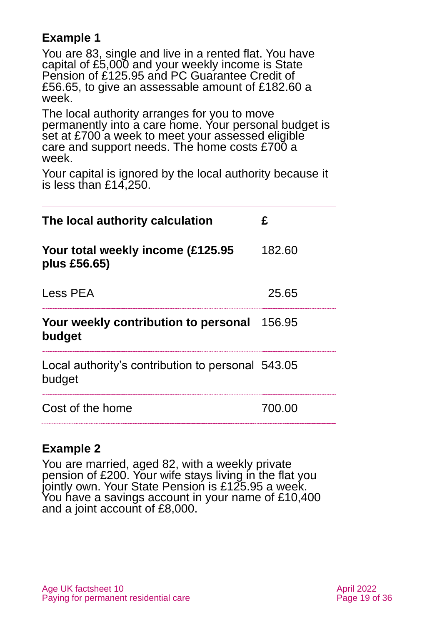### **Example 1**

You are 83, single and live in a rented flat. You have capital of £5,000 and your weekly income is State Pension of £125.95 and PC Guarantee Credit of £56.65, to give an assessable amount of £182.60 a week.

The local authority arranges for you to move permanently into a care home. Your personal budget is set at £700 a week to meet your assessed eligible care and support needs. The home costs £700 a week.

Your capital is ignored by the local authority because it is less than £14,250.

| The local authority calculation                             | £      |
|-------------------------------------------------------------|--------|
| Your total weekly income (£125.95<br>plus £56.65)           | 182.60 |
| Less PEA                                                    | 25.65  |
| Your weekly contribution to personal<br>budget              | 156.95 |
| Local authority's contribution to personal 543.05<br>budget |        |
| Cost of the home                                            | 700.00 |

### **Example 2**

You are married, aged 82, with a weekly private pension of £200. Your wife stays living in the flat you jointly own. Your State Pension is £125.95 a week. You have a savings account in your name of £10,400 and a joint account of £8,000.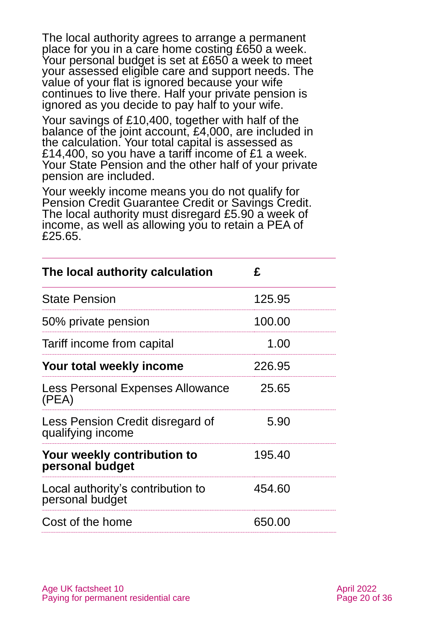The local authority agrees to arrange a permanent place for you in a care home costing £650 a week. Your personal budget is set at £650 a week to meet your assessed eligible care and support needs. The value of your flat is ignored because your wife continues to live there. Half your private pension is ignored as you decide to pay half to your wife.

Your savings of £10,400, together with half of the balance of the joint account, £4,000, are included in the calculation. Your total capital is assessed as £14,400, so you have a tariff income of £1 a week. Your State Pension and the other half of your private pension are included.

Your weekly income means you do not qualify for Pension Credit Guarantee Credit or Savings Credit. The local authority must disregard £5.90 a week of income, as well as allowing you to retain a PEA of £25.65.

| The local authority calculation                       | £      |  |
|-------------------------------------------------------|--------|--|
| <b>State Pension</b>                                  | 125.95 |  |
| 50% private pension                                   | 100.00 |  |
| Tariff income from capital                            | 1.00   |  |
| Your total weekly income                              | 226.95 |  |
| Less Personal Expenses Allowance<br>(PEA)             | 25.65  |  |
| Less Pension Credit disregard of<br>qualifying income | 5.90   |  |
| Your weekly contribution to<br>personal budget        | 195.40 |  |
| Local authority's contribution to<br>personal budget  | 454.60 |  |
| Cost of the home                                      | 650.00 |  |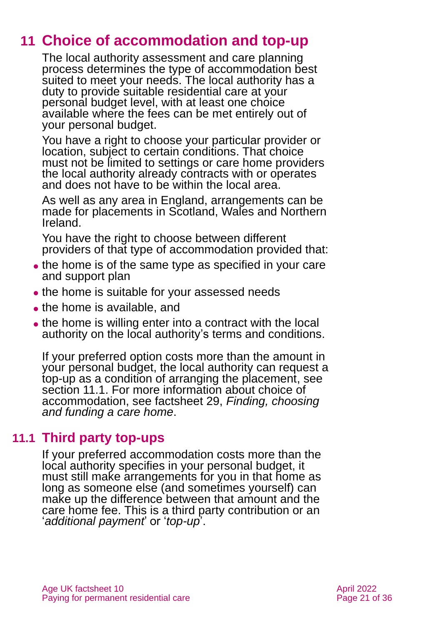## **11 Choice of accommodation and top-up**

<span id="page-20-0"></span>The local authority assessment and care planning process determines the type of accommodation best suited to meet your needs. The local authority has a duty to provide suitable residential care at your personal budget level, with at least one choice available where the fees can be met entirely out of your personal budget.

You have a right to choose your particular provider or location, subject to certain conditions. That choice must not be limited to settings or care home providers the local authority already contracts with or operates and does not have to be within the local area.

As well as any area in England, arrangements can be made for placements in Scotland, Wales and Northern Ireland.

You have the right to choose between different providers of that type of accommodation provided that:

- the home is of the same type as specified in your care and support plan
- ⚫ the home is suitable for your assessed needs
- the home is available, and
- ⚫ the home is willing enter into a contract with the local authority on the local authority's terms and conditions.

If your preferred option costs more than the amount in your personal budget, the local authority can request a top-up as a condition of arranging the placement, see section 11.1. For more information about choice of accommodation, see factsheet 29, *[Finding, choosing](https://www.ageuk.org.uk/globalassets/age-uk/documents/factsheets/fs29_finding_choosing_and_funding_a_care_home_fcs.pdf)  [and funding a care home](https://www.ageuk.org.uk/globalassets/age-uk/documents/factsheets/fs29_finding_choosing_and_funding_a_care_home_fcs.pdf)*.

### **11.1 Third party top-ups**

If your preferred accommodation costs more than the local authority specifies in your personal budget, it must still make arrangements for you in that home as long as someone else (and sometimes yourself) can make up the difference between that amount and the care home fee. This is a third party contribution or an '*additional payment*' or '*top-up*'.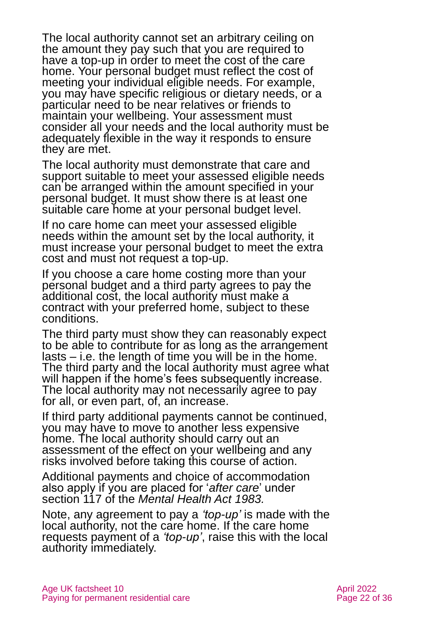The local authority cannot set an arbitrary ceiling on the amount they pay such that you are required to have a top-up in order to meet the cost of the care home. Your personal budget must reflect the cost of meeting your individual eligible needs. For example, you may have specific religious or dietary needs, or a particular need to be near relatives or friends to maintain your wellbeing. Your assessment must consider all your needs and the local authority must be adequately flexible in the way it responds to ensure they are met.

The local authority must demonstrate that care and support suitable to meet your assessed eligible needs can be arranged within the amount specified in your personal budget. It must show there is at least one suitable care home at your personal budget level.

If no care home can meet your assessed eligible needs within the amount set by the local authority, it must increase your personal budget to meet the extra cost and must not request a top-up.

If you choose a care home costing more than your personal budget and a third party agrees to pay the additional cost, the local authority must make a contract with your preferred home, subject to these conditions.

The third party must show they can reasonably expect to be able to contribute for as long as the arrangement lasts – i.e. the length of time you will be in the home. The third party and the local authority must agree what will happen if the home's fees subsequently increase. The local authority may not necessarily agree to pay for all, or even part, of, an increase.

If third party additional payments cannot be continued, you may have to move to another less expensive home. The local authority should carry out an assessment of the effect on your wellbeing and any risks involved before taking this course of action.

Additional payments and choice of accommodation also apply if you are placed for '*after care*' under section 117 of the *Mental Health Act 1983.*

Note, any agreement to pay a *'top-up'* is made with the local authority, not the care home. If the care home requests payment of a *'top-up'*, raise this with the local authority immediately.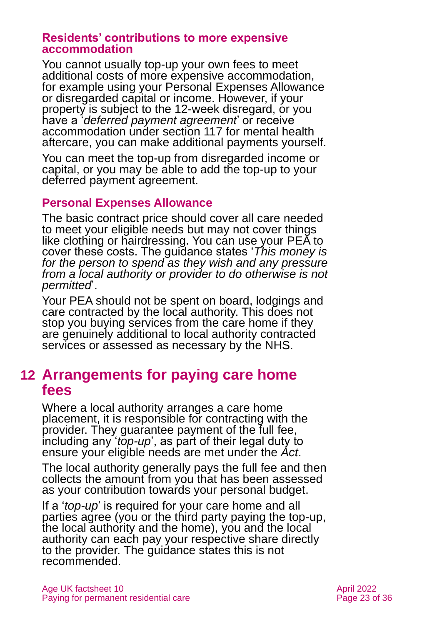#### **Residents' contributions to more expensive accommodation**

You cannot usually top-up your own fees to meet additional costs of more expensive accommodation, for example using your Personal Expenses Allowance or disregarded capital or income. However, if your property is subject to the 12-week disregard, or you have a '*deferred payment agreement*' or receive accommodation under section 117 for mental health aftercare, you can make additional payments yourself.

You can meet the top-up from disregarded income or capital, or you may be able to add the top-up to your deferred payment agreement.

### **Personal Expenses Allowance**

The basic contract price should cover all care needed to meet your eligible needs but may not cover things like clothing or hairdressing. You can use your PEA to cover these costs. The guidance states '*This money is for the person to spend as they wish and any pressure from a local authority or provider to do otherwise is not permitted*'.

Your PEA should not be spent on board, lodgings and care contracted by the local authority. This does not stop you buying services from the care home if they are genuinely additional to local authority contracted services or assessed as necessary by the NHS.

### <span id="page-22-0"></span>**12 Arrangements for paying care home fees**

Where a local authority arranges a care home placement, it is responsible for contracting with the provider. They guarantee payment of the full fee, including any '*top-up*', as part of their legal duty to ensure your eligible needs are met under the *Act*.

The local authority generally pays the full fee and then collects the amount from you that has been assessed as your contribution towards your personal budget.

If a '*top-up*' is required for your care home and all parties agree (you or the third party paying the top-up, the local authority and the home), you and the local authority can each pay your respective share directly to the provider. The guidance states this is not recommended.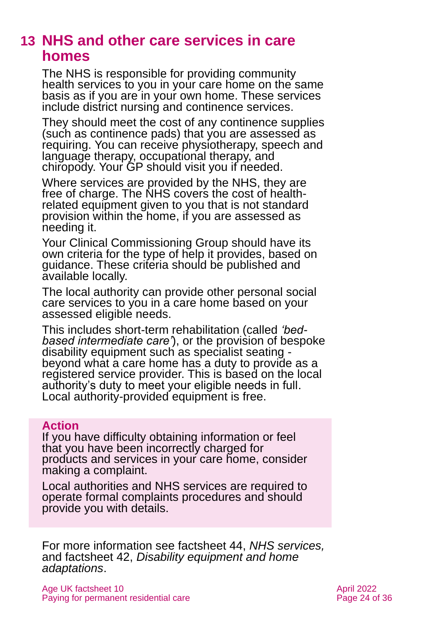### <span id="page-23-0"></span>**13 NHS and other care services in care homes**

The NHS is responsible for providing community health services to you in your care home on the same basis as if you are in your own home. These services include district nursing and continence services.

They should meet the cost of any continence supplies (such as continence pads) that you are assessed as requiring. You can receive physiotherapy, speech and language therapy, occupational therapy, and chiropody. Your GP should visit you if needed.

Where services are provided by the NHS, they are free of charge. The NHS covers the cost of healthrelated equipment given to you that is not standard provision within the home, if you are assessed as needing it.

Your Clinical Commissioning Group should have its own criteria for the type of help it provides, based on guidance. These criteria should be published and available locally.

The local authority can provide other personal social care services to you in a care home based on your assessed eligible needs.

This includes short-term rehabilitation (called *'bedbased intermediate care'*), or the provision of bespoke disability equipment such as specialist seating beyond what a care home has a duty to provide as a registered service provider. This is based on the local authority's duty to meet your eligible needs in full. Local authority-provided equipment is free.

#### **Action**

If you have difficulty obtaining information or feel that you have been incorrectly charged for products and services in your care home, consider making a complaint.

Local authorities and NHS services are required to operate formal complaints procedures and should provide you with details.

For more information see factsheet 44, *[NHS services,](https://www.ageuk.org.uk/globalassets/age-uk/documents/factsheets/fs44_nhs_services_fcs.pdf)*  and factsheet 42, *[Disability equipment and home](https://www.ageuk.org.uk/globalassets/age-uk/documents/factsheets/fs42_disability_equipment_and_home_adaptations_fcs.pdf)  [adaptations](https://www.ageuk.org.uk/globalassets/age-uk/documents/factsheets/fs42_disability_equipment_and_home_adaptations_fcs.pdf)*.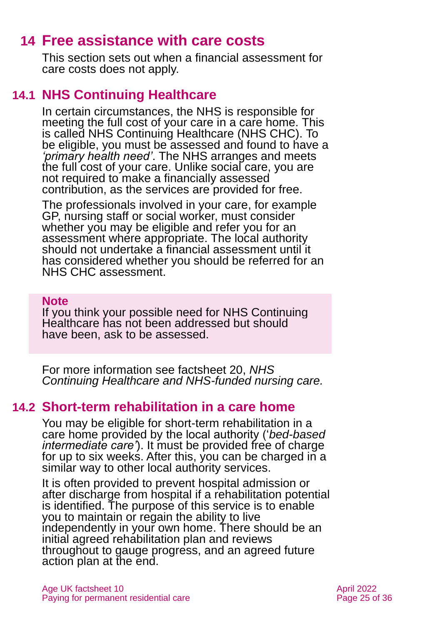### **14 Free assistance with care costs**

<span id="page-24-0"></span>This section sets out when a financial assessment for care costs does not apply.

### **14.1 NHS Continuing Healthcare**

In certain circumstances, the NHS is responsible for meeting the full cost of your care in a care home. This is called NHS Continuing Healthcare (NHS CHC). To be eligible, you must be assessed and found to have a *'primary health need'*. The NHS arranges and meets the full cost of your care. Unlike social care, you are not required to make a financially assessed contribution, as the services are provided for free.

The professionals involved in your care, for example GP, nursing staff or social worker, must consider whether you may be eligible and refer you for an assessment where appropriate. The local authority should not undertake a financial assessment until it has considered whether you should be referred for an NHS CHC assessment.

#### **Note**

If you think your possible need for NHS Continuing Healthcare has not been addressed but should have been, ask to be assessed.

For more information see factsheet 20, *[NHS](https://www.ageuk.org.uk/globalassets/age-uk/documents/factsheets/fs20_nhs_continuing_healthcare_and_nhs-funded_nursing_care_fcs.pdf)  [Continuing Healthcare and NHS-funded nursing care.](https://www.ageuk.org.uk/globalassets/age-uk/documents/factsheets/fs20_nhs_continuing_healthcare_and_nhs-funded_nursing_care_fcs.pdf)*

### **14.2 Short-term rehabilitation in a care home**

You may be eligible for short-term rehabilitation in a care home provided by the local authority ('*bed-based intermediate care'*). It must be provided free of charge for up to six weeks. After this, you can be charged in a similar way to other local authority services.

It is often provided to prevent hospital admission or after discharge from hospital if a rehabilitation potential is identified. The purpose of this service is to enable you to maintain or regain the ability to live independently in your own home. There should be an initial agreed rehabilitation plan and reviews throughout to gauge progress, and an agreed future action plan at the end.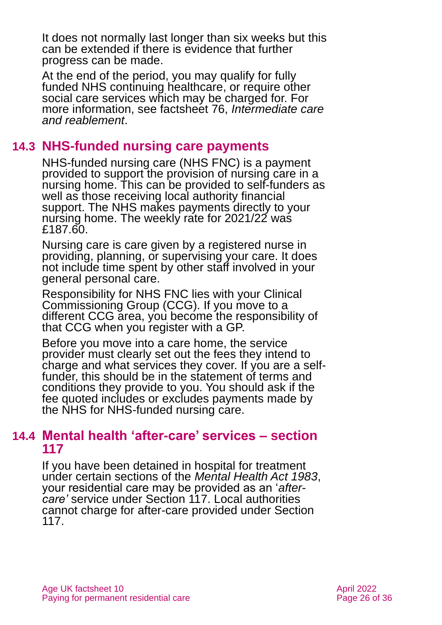It does not normally last longer than six weeks but this can be extended if there is evidence that further progress can be made.

At the end of the period, you may qualify for fully funded NHS continuing healthcare, or require other social care services which may be charged for. For more information, see factsheet 76, *[Intermediate care](https://www.ageuk.org.uk/globalassets/age-uk/documents/factsheets/fs76_intermediate_care_and_reablement_fcs.pdf)  [and reablement](https://www.ageuk.org.uk/globalassets/age-uk/documents/factsheets/fs76_intermediate_care_and_reablement_fcs.pdf)*.

### **14.3 NHS-funded nursing care payments**

NHS-funded nursing care (NHS FNC) is a payment provided to support the provision of nursing care in a nursing home. This can be provided to self-funders as well as those receiving local authority financial support. The NHS makes payments directly to your nursing home. The weekly rate for 2021/22 was £187.60.

Nursing care is care given by a registered nurse in providing, planning, or supervising your care. It does not include time spent by other staff involved in your general personal care.

Responsibility for NHS FNC lies with your Clinical Commissioning Group (CCG). If you move to a different CCG area, you become the responsibility of that CCG when you register with a GP.

Before you move into a care home, the service provider must clearly set out the fees they intend to charge and what services they cover. If you are a selffunder, this should be in the statement of terms and conditions they provide to you. You should ask if the fee quoted includes or excludes payments made by the NHS for NHS-funded nursing care.

### **14.4 Mental health 'after-care' services – section 117**

If you have been detained in hospital for treatment under certain sections of the *Mental Health Act 1983*, your residential care may be provided as an '*aftercare'* service under Section 117. Local authorities cannot charge for after-care provided under Section 117.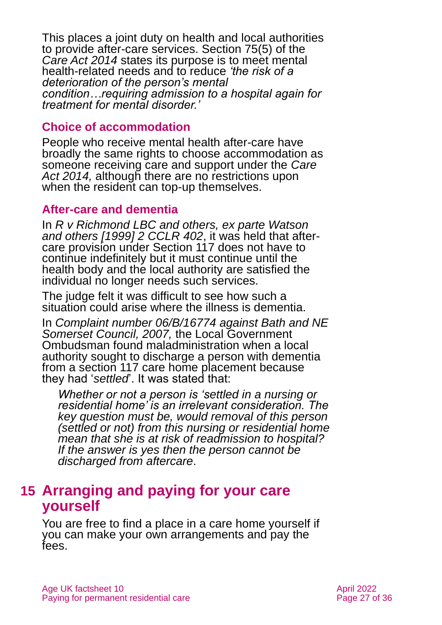This places a joint duty on health and local authorities to provide after-care services. Section 75(5) of the *Care Act 2014* states its purpose is to meet mental health-related needs and to reduce *'the risk of a deterioration of the person's mental condition…requiring admission to a hospital again for treatment for mental disorder.'*

#### **Choice of accommodation**

People who receive mental health after-care have broadly the same rights to choose accommodation as someone receiving care and support under the *Care Act 2014,* although there are no restrictions upon when the resident can top-up themselves.

### **After-care and dementia**

In *R v Richmond LBC and others, ex parte Watson and others [1999] 2 CCLR 402*, it was held that aftercare provision under Section 117 does not have to continue indefinitely but it must continue until the health body and the local authority are satisfied the individual no longer needs such services.

The judge felt it was difficult to see how such a situation could arise where the illness is dementia.

In *[Complaint number 06/B/16774 against Bath and NE](https://www.mentalhealthlaw.co.uk/LGO_decision:_Bath_and_North_East_Somerset_Council_06/B/16774_(12/12/07))  [Somerset Council, 2007,](https://www.mentalhealthlaw.co.uk/LGO_decision:_Bath_and_North_East_Somerset_Council_06/B/16774_(12/12/07))* the Local Government Ombudsman found maladministration when a local authority sought to discharge a person with dementia from a section 117 care home placement because they had '*settled*'. It was stated that:

*Whether or not a person is 'settled in a nursing or residential home' is an irrelevant consideration. The key question must be, would removal of this person (settled or not) from this nursing or residential home mean that she is at risk of readmission to hospital? If the answer is yes then the person cannot be discharged from aftercare*.

### <span id="page-26-0"></span>**15 Arranging and paying for your care yourself**

You are free to find a place in a care home yourself if you can make your own arrangements and pay the fees.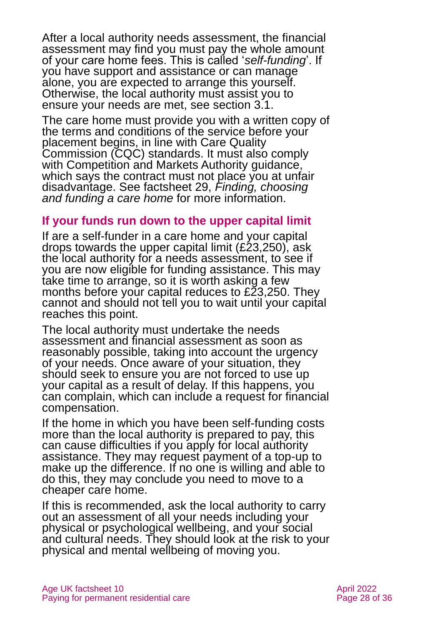After a local authority needs assessment, the financial assessment may find you must pay the whole amount of your care home fees. This is called '*self-funding*'. If you have support and assistance or can manage alone, you are expected to arrange this yourself. [Otherwise, the local authority must assist you to](#page-5-0)  [ensure your needs are met, see](#page-5-0) section 3.1.

The care home must provide you with a written copy of the terms and conditions of the service before your placement begins, in line with Care Quality Commission (CQC) standards. It must also comply with [Competition and Markets Authority](https://www.gov.uk/cma-cases/care-homes-consumer-protection-case) guidance, which says the contract must not place you at unfair disadvantage. See factsheet 29, *[Finding, choosing](https://www.ageuk.org.uk/globalassets/age-uk/documents/factsheets/fs29_finding_choosing_and_funding_a_care_home_fcs.pdf)  [and funding a care home](https://www.ageuk.org.uk/globalassets/age-uk/documents/factsheets/fs29_finding_choosing_and_funding_a_care_home_fcs.pdf)* for more information.

#### **If your funds run down to the upper capital limit**

If are a self-funder in a care home and your capital drops towards the upper capital limit (£23,250), ask the local authority for a needs assessment, to see if you are now eligible for funding assistance. This may take time to arrange, so it is worth asking a few months before your capital reduces to £23,250. They cannot and should not tell you to wait until your capital reaches this point.

The local authority must undertake the needs assessment and financial assessment as soon as reasonably possible, taking into account the urgency of your needs. Once aware of your situation, they should seek to ensure you are not forced to use up your capital as a result of delay. If this happens, you can complain, which can include a request for financial compensation.

If the home in which you have been self-funding costs more than the local authority is prepared to pay, this can cause difficulties if you apply for local authority assistance. They may request payment of a top-up to make up the difference. If no one is willing and able to do this, they may conclude you need to move to a cheaper care home.

If this is recommended, ask the local authority to carry out an assessment of all your needs including your physical or psychological wellbeing, and your social and cultural needs. They should look at the risk to your physical and mental wellbeing of moving you.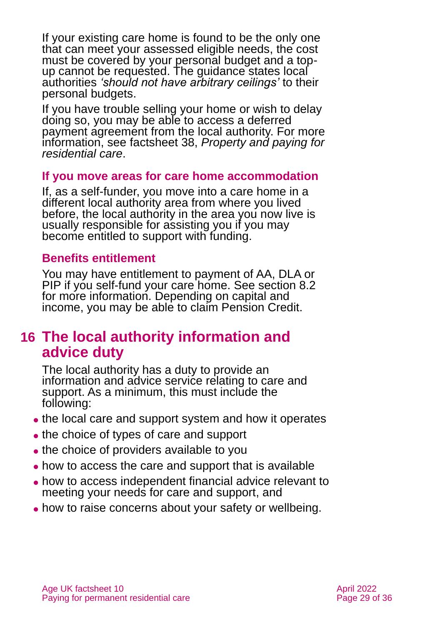If your existing care home is found to be the only one that can meet your assessed eligible needs, the cost must be covered by your personal budget and a topup cannot be requested. The guidance states local authorities *'should not have arbitrary ceilings'* to their personal budgets.

If you have trouble selling your home or wish to delay doing so, you may be able to access a deferred payment agreement from the local authority. For more information, see factsheet 38, *[Property and paying for](https://www.ageuk.org.uk/globalassets/age-uk/documents/factsheets/fs38_property_and_paying_for_residential_care_fcs.pdf)  [residential care](https://www.ageuk.org.uk/globalassets/age-uk/documents/factsheets/fs38_property_and_paying_for_residential_care_fcs.pdf)*.

#### **If you move areas for care home accommodation**

If, as a self-funder, you move into a care home in a different local authority area from where you lived before, the local authority in the area you now live is usually responsible for assisting you if you may become entitled to support with funding.

#### **Benefits entitlement**

You may have entitlement to payment of AA, DLA or PIP if you self-fund your care home. See [section 8.2](#page-15-0) for more information. Depending on capital and income, you may be able to claim Pension Credit.

### <span id="page-28-0"></span>**16 The local authority information and advice duty**

The local authority has a duty to provide an information and advice service relating to care and support. As a minimum, this must include the following:

- the local care and support system and how it operates
- ⚫ the choice of types of care and support
- the choice of providers available to you
- how to access the care and support that is available
- ⚫ how to access independent financial advice relevant to meeting your needs for care and support, and
- how to raise concerns about your safety or wellbeing.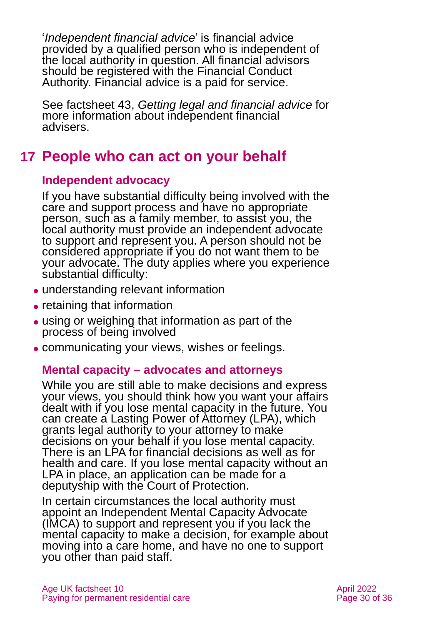'*Independent financial advice*' is financial advice provided by a qualified person who is independent of the local authority in question. All financial advisors should be registered with the Financial Conduct Authority. Financial advice is a paid for service.

See factsheet 43, *[Getting legal and financial advice](https://www.ageuk.org.uk/globalassets/age-uk/documents/factsheets/fs43-getting-legal-and-financial-advice.pdf)* for more information about independent financial advisers.

## <span id="page-29-0"></span>**17 People who can act on your behalf**

### **Independent advocacy**

If you have substantial difficulty being involved with the care and support process and have no appropriate person, such as a family member, to assist you, the local authority must provide an independent advocate to support and represent you. A person should not be considered appropriate if you do not want them to be your advocate. The duty applies where you experience substantial difficulty:

- ⚫ understanding relevant information
- retaining that information
- ⚫ using or weighing that information as part of the process of being involved
- communicating your views, wishes or feelings.

### **Mental capacity – advocates and attorneys**

While you are still able to make decisions and express your views, you should think how you want your affairs dealt with if you lose mental capacity in the future. You can create a Lasting Power of Attorney (LPA), which grants legal authority to your attorney to make decisions on your behalf if you lose mental capacity. There is an LPA for financial decisions as well as for health and care. If you lose mental capacity without an LPA in place, an application can be made for a deputyship with the Court of Protection.

In certain circumstances the local authority must appoint an Independent Mental Capacity Advocate (IMCA) to support and represent you if you lack the mental capacity to make a decision, for example about moving into a care home, and have no one to support you other than paid staff.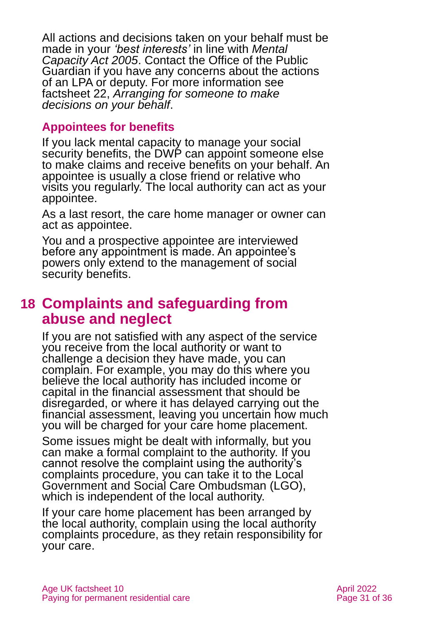All actions and decisions taken on your behalf must be made in your *'best interests'* in line with *[Mental](https://www.legislation.gov.uk/ukpga/2005/9/contents)  [Capacity Act 2005](https://www.legislation.gov.uk/ukpga/2005/9/contents)*. Contact the Office of the Public Guardian if you have any concerns about the actions of an LPA or deputy. For more information see factsheet 22, *[Arranging for someone to make](https://www.ageuk.org.uk/globalassets/age-uk/documents/factsheets/fs22_arranging_for_someone_to_make_decisions_on_your_behalf_fcs.pdf)  [decisions on your behalf](https://www.ageuk.org.uk/globalassets/age-uk/documents/factsheets/fs22_arranging_for_someone_to_make_decisions_on_your_behalf_fcs.pdf)*.

### **Appointees for benefits**

If you lack mental capacity to manage your social security benefits, the DWP can appoint someone else to make claims and receive benefits on your behalf. An appointee is usually a close friend or relative who visits you regularly. The local authority can act as your appointee.

As a last resort, the care home manager or owner can act as appointee.

You and a prospective appointee are interviewed before any appointment is made. An appointee's powers only extend to the management of social security benefits.

## <span id="page-30-0"></span>**18 Complaints and safeguarding from abuse and neglect**

If you are not satisfied with any aspect of the service you receive from the local authority or want to challenge a decision they have made, you can complain. For example, you may do this where you believe the local authority has included income or capital in the financial assessment that should be disregarded, or where it has delayed carrying out the financial assessment, leaving you uncertain how much you will be charged for your care home placement.

Some issues might be dealt with informally, but you can make a formal complaint to the authority. If you cannot resolve the complaint using the authority's complaints procedure, you can take it to the Local Government and Social Care Ombudsman (LGO), which is independent of the local authority.

If your care home placement has been arranged by the local authority, complain using the local authority complaints procedure, as they retain responsibility for your care.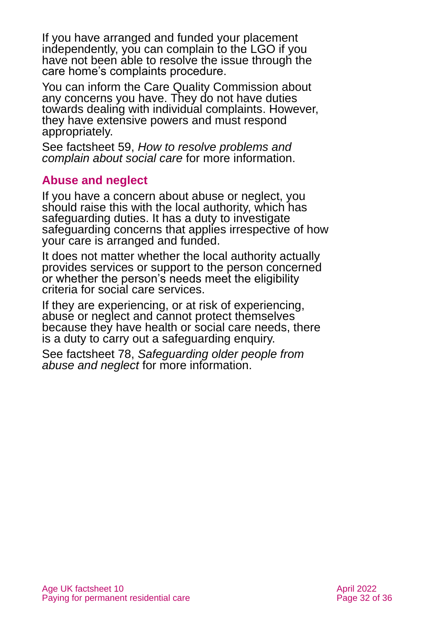If you have arranged and funded your placement independently, you can complain to the LGO if you have not been able to resolve the issue through the care home's complaints procedure.

You can inform the Care Quality Commission about any concerns you have. They do not have duties towards dealing with individual complaints. However, they have extensive powers and must respond appropriately.

See factsheet 59, *[How to resolve problems and](https://www.ageuk.org.uk/globalassets/age-uk/documents/factsheets/fs59_how_to_resolve_problems_and_complain_about_social_care_fcs.pdf)  [complain about social care](https://www.ageuk.org.uk/globalassets/age-uk/documents/factsheets/fs59_how_to_resolve_problems_and_complain_about_social_care_fcs.pdf)* for more information.

### **Abuse and neglect**

If you have a concern about abuse or neglect, you should raise this with the local authority, which has safeguarding duties. It has a duty to investigate safeguarding concerns that applies irrespective of how your care is arranged and funded.

It does not matter whether the local authority actually provides services or support to the person concerned or whether the person's needs meet the eligibility criteria for social care services.

If they are experiencing, or at risk of experiencing, abuse or neglect and cannot protect themselves because they have health or social care needs, there is a duty to carry out a safeguarding enquiry.

See factsheet 78, *[Safeguarding older people from](https://www.ageuk.org.uk/globalassets/age-uk/documents/factsheets/fs78_safeguarding_older_people_from_abuse_fcs.pdf)  [abuse and neglect](https://www.ageuk.org.uk/globalassets/age-uk/documents/factsheets/fs78_safeguarding_older_people_from_abuse_fcs.pdf)* for more information.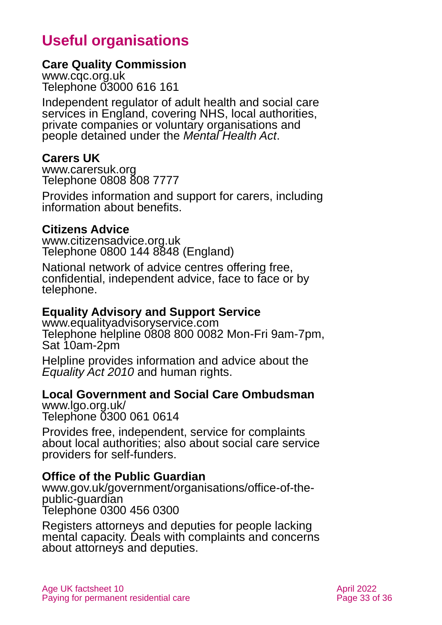## **Useful organisations**

#### <span id="page-32-0"></span>**Care Quality Commission**

[www.cqc.org.uk](http://www.cqc.org.uk/) Telephone 03000 616 161

Independent regulator of adult health and social care services in England, covering NHS, local authorities, private companies or voluntary organisations and people detained under the *Mental Health Act*.

#### **Carers UK**

[www.carersuk.org](http://www.carersuk.org/) Telephone 0808 808 7777

Provides information and support for carers, including information about benefits.

### **Citizens Advice**

[www.citizensadvice.org.uk](http://www.citizensadvice.org.uk/) Telephone 0800 144 8848 (England)

National network of advice centres offering free, confidential, independent advice, face to face or by telephone.

### **Equality Advisory and Support Service**

[www.equalityadvisoryservice.com](http://www.equalityadvisoryservice.com/) Telephone helpline 0808 800 0082 Mon-Fri 9am-7pm, Sat 10am-2pm

Helpline provides information and advice about the *Equality Act 2010* and human rights.

### **Local Government and Social Care Ombudsman**

[www.lgo.org.uk/](http://www.lgo.org.uk/)  Telephone 0300 061 0614

Provides free, independent, service for complaints about local authorities; also about social care service providers for self-funders.

#### **Office of the Public Guardian**

[www.gov.uk/government/organisations/office-of-the](http://www.gov.uk/government/organisations/office-of-the-public-guardian)[public-guardian](http://www.gov.uk/government/organisations/office-of-the-public-guardian) Telephone 0300 456 0300

Registers attorneys and deputies for people lacking mental capacity. Deals with complaints and concerns about attorneys and deputies.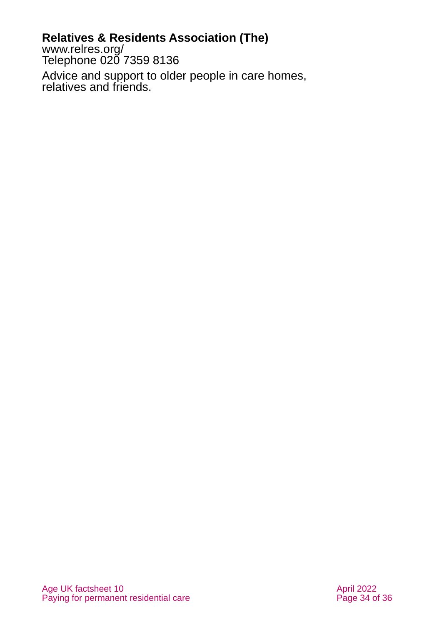### **Relatives & Residents Association (The)**

[www.relres.org/](http://www.relres.org/) Telephone 020 7359 8136

Advice and support to older people in care homes, relatives and friends.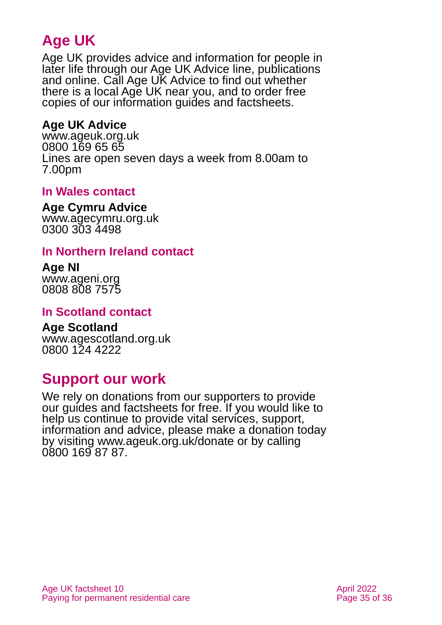## **Age UK**

Age UK provides advice and information for people in later life through our Age UK Advice line, publications and online. Call Age UK Advice to find out whether there is a local Age UK near you, and to order free copies of our information guides and factsheets.

### <span id="page-34-1"></span>**Age UK Advice**

[www.ageuk.org.uk](http://www.ageuk.org.uk/) 0800 169 65 65 Lines are open seven days a week from 8.00am to 7.00pm

### **In Wales contact**

#### **Age Cymru Advice**

[www.agecymru.org.uk](http://www.agecymru.org.uk/) 0300 303 4498

### <span id="page-34-0"></span>**In Northern Ireland contact**

#### **Age NI** [www.ageni.org](http://www.ageni.org/)

0808 808 7575

### **In Scotland contact**

## <span id="page-34-2"></span>**Age Scotland**

[www.agescotland.org.uk](http://www.agescotland.org.uk/) 0800 124 4222

## **Support our work**

We rely on donations from our supporters to provide our guides and factsheets for free. If you would like to help us continue to provide vital services, support, information and advice, please make a donation today by visiting [www.ageuk.org.uk/donate](http://www.ageuk.org.uk/donate) or by calling 0800 169 87 87.